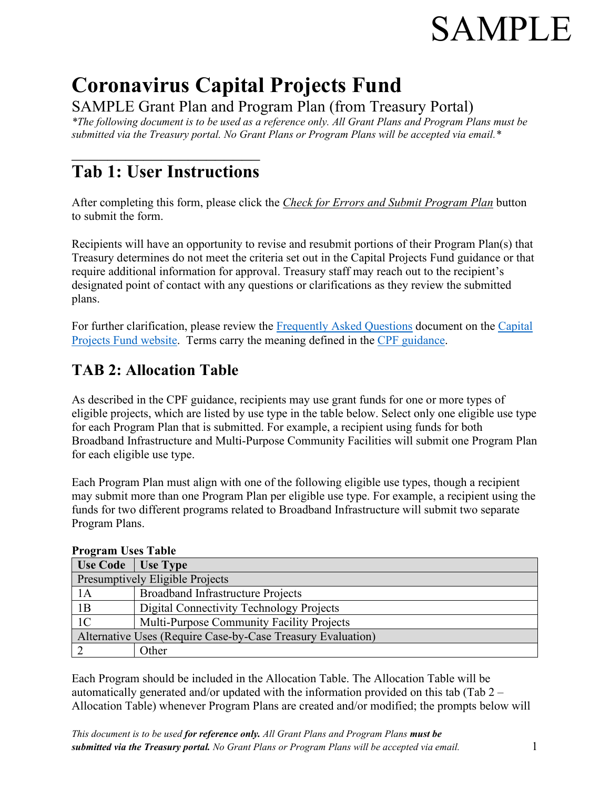# SAMPLE

## **Coronavirus Capital Projects Fund**

SAMPLE Grant Plan and Program Plan (from Treasury Portal)

*\*The following document is to be used as a reference only. All Grant Plans and Program Plans must be submitted via the Treasury portal. No Grant Plans or Program Plans will be accepted via email.\**

## $\overline{\phantom{a}}$  , and the set of the set of the set of the set of the set of the set of the set of the set of the set of the set of the set of the set of the set of the set of the set of the set of the set of the set of the s **Tab 1: User Instructions**

After completing this form, please click the *Check for Errors and Submit Program Plan* button to submit the form.

Recipients will have an opportunity to revise and resubmit portions of their Program Plan(s) that Treasury determines do not meet the criteria set out in the Capital Projects Fund guidance or that require additional information for approval. Treasury staff may reach out to the recipient's designated point of contact with any questions or clarifications as they review the submitted plans.

For further clarification, please review the [Frequently Asked Questions](https://home.treasury.gov/system/files/136/Coronavirus-Capital-Projects-Fund-FAQs_FINAL.pdf) document on the [Capital](http://www.treasury.gov/CPF)  [Projects Fund website.](http://www.treasury.gov/CPF) Terms carry the meaning defined in the [CPF guidance.](https://home.treasury.gov/system/files/136/Capital-Projects-Fund-Guidance-States-Territories-and-Freely-Associated-States.pdf)

## **TAB 2: Allocation Table**

As described in the CPF guidance, recipients may use grant funds for one or more types of eligible projects, which are listed by use type in the table below. Select only one eligible use type for each Program Plan that is submitted. For example, a recipient using funds for both Broadband Infrastructure and Multi-Purpose Community Facilities will submit one Program Plan for each eligible use type.

Each Program Plan must align with one of the following eligible use types, though a recipient may submit more than one Program Plan per eligible use type. For example, a recipient using the funds for two different programs related to Broadband Infrastructure will submit two separate Program Plans.

| TIVETAMI USUS TADIU                                         |                                           |
|-------------------------------------------------------------|-------------------------------------------|
| Use Code   Use Type                                         |                                           |
| Presumptively Eligible Projects                             |                                           |
| 1A                                                          | <b>Broadband Infrastructure Projects</b>  |
| 1B                                                          | Digital Connectivity Technology Projects  |
| 1 <sup>C</sup>                                              | Multi-Purpose Community Facility Projects |
| Alternative Uses (Require Case-by-Case Treasury Evaluation) |                                           |
|                                                             | Other                                     |

#### **Program Uses Table**

Each Program should be included in the Allocation Table. The Allocation Table will be automatically generated and/or updated with the information provided on this tab (Tab  $2 -$ Allocation Table) whenever Program Plans are created and/or modified; the prompts below will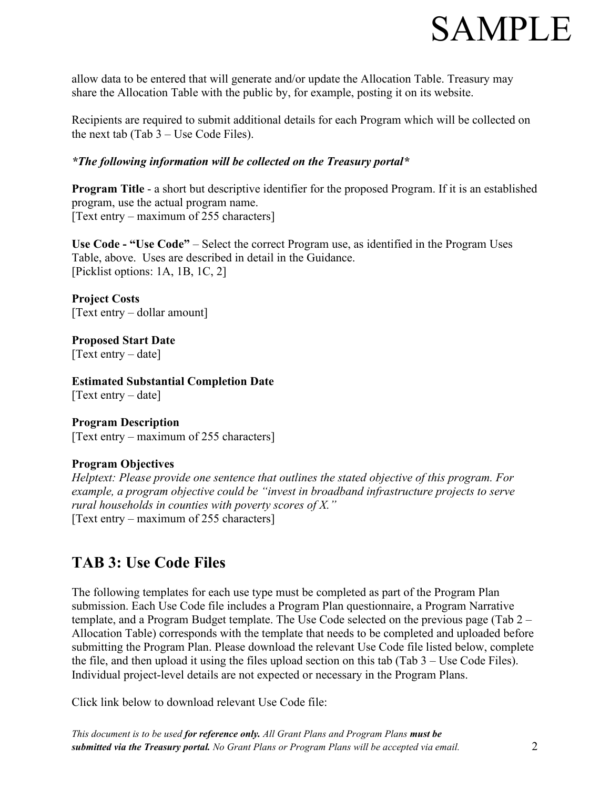## **SAMPLE**

allow data to be entered that will generate and/or update the Allocation Table. Treasury may share the Allocation Table with the public by, for example, posting it on its website.

Recipients are required to submit additional details for each Program which will be collected on the next tab  $(Tab 3 – Use Code Files).$ 

#### *\*The following information will be collected on the Treasury portal\**

**Program Title** - a short but descriptive identifier for the proposed Program. If it is an established program, use the actual program name. [Text entry – maximum of 255 characters]

**Use Code - "Use Code"** – Select the correct Program use, as identified in the Program Uses Table, above. Uses are described in detail in the Guidance. [Picklist options: 1A, 1B, 1C, 2]

**Project Costs**  [Text entry – dollar amount]

**Proposed Start Date**  [Text entry – date]

**Estimated Substantial Completion Date**  [Text entry – date]

**Program Description** [Text entry – maximum of 255 characters]

#### **Program Objectives**

*Helptext: Please provide one sentence that outlines the stated objective of this program. For example, a program objective could be "invest in broadband infrastructure projects to serve rural households in counties with poverty scores of X."*  [Text entry – maximum of 255 characters]

### **TAB 3: Use Code Files**

The following templates for each use type must be completed as part of the Program Plan submission. Each Use Code file includes a Program Plan questionnaire, a Program Narrative template, and a Program Budget template. The Use Code selected on the previous page (Tab 2 – Allocation Table) corresponds with the template that needs to be completed and uploaded before submitting the Program Plan. Please download the relevant Use Code file listed below, complete the file, and then upload it using the files upload section on this tab (Tab 3 – Use Code Files). Individual project-level details are not expected or necessary in the Program Plans.

Click link below to download relevant Use Code file:

*This document is to be used for reference only. All Grant Plans and Program Plans must be submitted via the Treasury portal. No Grant Plans or Program Plans will be accepted via email.* 2